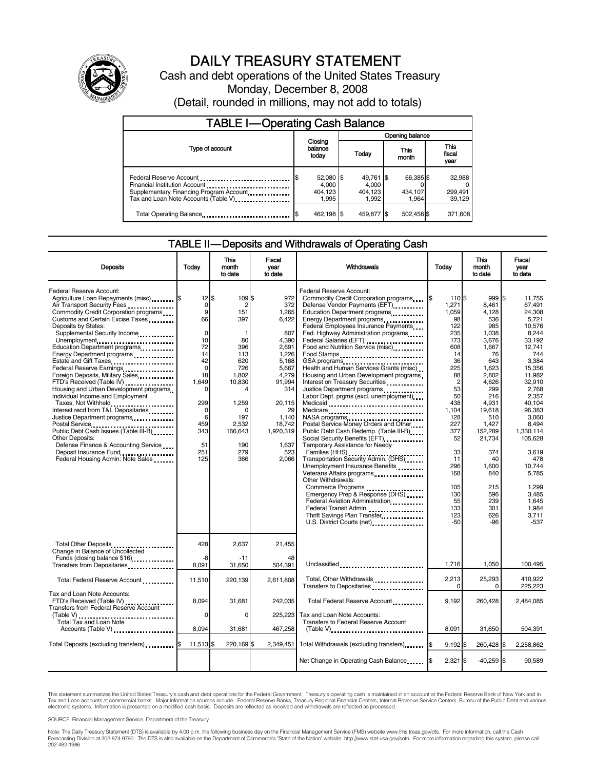

# DAILY TREASURY STATEMENT

Cash and debt operations of the United States Treasury Monday, December 8, 2008 (Detail, rounded in millions, may not add to totals)

| <b>TABLE I-Operating Cash Balance</b>                                                                             |                             |                                        |  |                                        |               |                               |  |                             |
|-------------------------------------------------------------------------------------------------------------------|-----------------------------|----------------------------------------|--|----------------------------------------|---------------|-------------------------------|--|-----------------------------|
|                                                                                                                   |                             |                                        |  | Opening balance                        |               |                               |  |                             |
| Type of account                                                                                                   | Closing<br>balance<br>today |                                        |  | Today                                  | This<br>month |                               |  | This<br>fiscal<br>year      |
| Financial Institution Account<br>Supplementary Financing Program Account<br>Tax and Loan Note Accounts (Table V). |                             | 52,080 \$<br>4.000<br>404.123<br>1.995 |  | 49,761 \$<br>4.000<br>404.123<br>1.992 |               | 66,385 \$<br>434,107<br>1.964 |  | 32,988<br>299,491<br>39,129 |
| Total Operating Balance                                                                                           |                             | 462,198 \$                             |  | 459.877 \$                             |               | 502,456 \$                    |  | 371,608                     |

#### TABLE II — Deposits and Withdrawals of Operating Cash

| <b>Deposits</b>                                                                                                                                                                                                                                                                                                                                                                                                                                                                                                                                                                                                                                                                                                                                                              | Todav                                                                                                                                                                                 | This<br>month<br>to date                                                                                                                                   | <b>Fiscal</b><br>vear<br>to date                                                                                                                                                    | <b>Withdrawals</b>                                                                                                                                                                                                                                                                                                                                                                                                                                                                                                                                                                                                                                                                                                                                                                                                                                                                                                                                                                                                                                                                 | Today                                                                                                                                                                                                                             | <b>This</b><br>month<br>to date                                                                                                                                                                                                                        | Fiscal<br>vear<br>to date                                                                                                                                                                                                                                                                          |
|------------------------------------------------------------------------------------------------------------------------------------------------------------------------------------------------------------------------------------------------------------------------------------------------------------------------------------------------------------------------------------------------------------------------------------------------------------------------------------------------------------------------------------------------------------------------------------------------------------------------------------------------------------------------------------------------------------------------------------------------------------------------------|---------------------------------------------------------------------------------------------------------------------------------------------------------------------------------------|------------------------------------------------------------------------------------------------------------------------------------------------------------|-------------------------------------------------------------------------------------------------------------------------------------------------------------------------------------|------------------------------------------------------------------------------------------------------------------------------------------------------------------------------------------------------------------------------------------------------------------------------------------------------------------------------------------------------------------------------------------------------------------------------------------------------------------------------------------------------------------------------------------------------------------------------------------------------------------------------------------------------------------------------------------------------------------------------------------------------------------------------------------------------------------------------------------------------------------------------------------------------------------------------------------------------------------------------------------------------------------------------------------------------------------------------------|-----------------------------------------------------------------------------------------------------------------------------------------------------------------------------------------------------------------------------------|--------------------------------------------------------------------------------------------------------------------------------------------------------------------------------------------------------------------------------------------------------|----------------------------------------------------------------------------------------------------------------------------------------------------------------------------------------------------------------------------------------------------------------------------------------------------|
| Federal Reserve Account:<br>Agriculture Loan Repayments (misc) <b>\$</b><br>Air Transport Security Fees<br>Commodity Credit Corporation programs<br>Customs and Certain Excise Taxes<br>Deposits by States:<br>Supplemental Security Income<br>Unemployment<br>Education Department programs<br>Energy Department programs<br>Federal Reserve Earnings<br>Foreign Deposits, Military Sales<br>FTD's Received (Table IV)<br>Housing and Urban Development programs<br>Individual Income and Employment<br>Taxes, Not Withheld<br>Interest recd from T&L Depositaries<br>Justice Department programs<br>Public Debt Cash Issues (Table III-B)<br><b>Other Deposits:</b><br>Defense Finance & Accounting Service<br>Deposit Insurance Fund<br>Federal Housing Admin: Note Sales | $12$ $\overline{\phantom{1}5}$<br>0<br>9<br>66<br>$\mathbf 0$<br>10<br>72<br>14<br>42<br>$\mathbf 0$<br>18<br>1.649<br>0<br>299<br>$\mathbf 0$<br>6<br>459<br>343<br>51<br>251<br>125 | 109 \$<br>$\overline{2}$<br>151<br>397<br>-1<br>80<br>396<br>113<br>620<br>726<br>1,802<br>10,830<br>1,259<br>197<br>2,532<br>166,643<br>190<br>279<br>366 | 972<br>372<br>1,265<br>6,422<br>807<br>4,390<br>2,691<br>1.226<br>5,168<br>5,667<br>4,279<br>91,994<br>314<br>20,115<br>29<br>1,140<br>18,742<br>1,920,319<br>1,637<br>523<br>2,066 | Federal Reserve Account:<br>Commodity Credit Corporation programs<br>Defense Vendor Payments (EFT)<br>Education Department programs<br>Energy Department programs<br>Federal Employees Insurance Payments<br>Fed. Highway Administration programs<br>Federal Salaries (EFT)<br>1999: 1999: 1999: 1999: 1999: 1999: 1999: 1999: 1999: 1999: 1999: 1999: 1999: 1999: 1999: 1999: 1999: 1999: 1<br>Food and Nutrition Service (misc)<br>Food Stamps<br>Health and Human Services Grants (misc)<br>Housing and Urban Development programs<br>Interest on Treasury Securities<br>Justice Department programs<br>Labor Dept. prgms (excl. unemployment)<br>Medicaid<br>Medicare<br>Postal Service Money Orders and Other<br>Public Debt Cash Redemp. (Table III-B)<br>Temporary Assistance for Needy<br>Transportation Security Admin. (DHS)<br>Unemployment Insurance Benefits<br>Other Withdrawals:<br>Commerce Programs<br>Emergency Prep & Response (DHS)<br>Federal Aviation Administration<br>Federal Transit Admin.<br>Thrift Savings Plan Transfer<br>U.S. District Courts (net) | 110 \$<br>1.271<br>1,059<br>98<br>122<br>235<br>173<br>608<br>14<br>36<br>225<br>88<br>$\overline{c}$<br>53<br>50<br>438<br>1.104<br>128<br>227<br>377<br>52<br>33<br>11<br>296<br>168<br>105<br>130<br>55<br>133<br>123<br>$-50$ | 999 \$<br>8.461<br>4,128<br>536<br>985<br>1.038<br>3,676<br>1,667<br>76<br>643<br>1,623<br>2,802<br>4,626<br>299<br>216<br>4,931<br>19,618<br>510<br>1,427<br>152,289<br>21,734<br>374<br>40<br>1.600<br>840<br>215<br>596<br>239<br>301<br>626<br>-96 | 11.755<br>67.491<br>24,308<br>5.721<br>10.576<br>8.244<br>33,192<br>12.741<br>744<br>3.384<br>15,356<br>11.982<br>32,910<br>2.768<br>2,357<br>40.104<br>96,383<br>3,060<br>8.494<br>1,330,114<br>105.628<br>3,619<br>478<br>10.744<br>5,785<br>1.299<br>3,485<br>1,645<br>1.984<br>3.711<br>$-537$ |
| Total Other Deposits<br>Change in Balance of Uncollected<br>Funds (closing balance \$16)<br>Transfers from Depositaries                                                                                                                                                                                                                                                                                                                                                                                                                                                                                                                                                                                                                                                      | 428<br>-8<br>8,091                                                                                                                                                                    | 2.637<br>$-11$<br>31,650                                                                                                                                   | 21,455<br>48<br>504,391                                                                                                                                                             | Unclassified                                                                                                                                                                                                                                                                                                                                                                                                                                                                                                                                                                                                                                                                                                                                                                                                                                                                                                                                                                                                                                                                       | 1,716                                                                                                                                                                                                                             | 1,050                                                                                                                                                                                                                                                  | 100,495                                                                                                                                                                                                                                                                                            |
| Total Federal Reserve Account                                                                                                                                                                                                                                                                                                                                                                                                                                                                                                                                                                                                                                                                                                                                                | 11,510                                                                                                                                                                                | 220,139                                                                                                                                                    | 2,611,808                                                                                                                                                                           | Total, Other Withdrawals<br>Transfers to Depositaries                                                                                                                                                                                                                                                                                                                                                                                                                                                                                                                                                                                                                                                                                                                                                                                                                                                                                                                                                                                                                              | 2,213<br>$\Omega$                                                                                                                                                                                                                 | 25,293<br>$\mathbf 0$                                                                                                                                                                                                                                  | 410.922<br>225,223                                                                                                                                                                                                                                                                                 |
| Tax and Loan Note Accounts:<br>FTD's Received (Table IV)<br><b>Transfers from Federal Reserve Account</b><br>(Table V)                                                                                                                                                                                                                                                                                                                                                                                                                                                                                                                                                                                                                                                       | 8.094<br>0                                                                                                                                                                            | 31,681<br>$\mathbf 0$                                                                                                                                      | 242.035<br>225,223                                                                                                                                                                  | Total Federal Reserve Account<br>Tax and Loan Note Accounts:                                                                                                                                                                                                                                                                                                                                                                                                                                                                                                                                                                                                                                                                                                                                                                                                                                                                                                                                                                                                                       | 9.192                                                                                                                                                                                                                             | 260,428                                                                                                                                                                                                                                                | 2,484,085                                                                                                                                                                                                                                                                                          |
| Total Tax and Loan Note<br>Accounts (Table V)                                                                                                                                                                                                                                                                                                                                                                                                                                                                                                                                                                                                                                                                                                                                | 8,094                                                                                                                                                                                 | 31,681                                                                                                                                                     | 467,258                                                                                                                                                                             | Transfers to Federal Reserve Account<br>$(Table V)$ , $\ldots$ , $\ldots$ , $\ldots$ , $\ldots$ , $\ldots$ , $\ldots$ , $\ldots$ , $\ldots$ , $\ldots$                                                                                                                                                                                                                                                                                                                                                                                                                                                                                                                                                                                                                                                                                                                                                                                                                                                                                                                             | 8,091                                                                                                                                                                                                                             | 31,650                                                                                                                                                                                                                                                 | 504,391                                                                                                                                                                                                                                                                                            |
| Total Deposits (excluding transfers) [8                                                                                                                                                                                                                                                                                                                                                                                                                                                                                                                                                                                                                                                                                                                                      | 11,513 \$                                                                                                                                                                             | 220,169 \$                                                                                                                                                 | 2,349,451                                                                                                                                                                           | Total Withdrawals (excluding transfers)                                                                                                                                                                                                                                                                                                                                                                                                                                                                                                                                                                                                                                                                                                                                                                                                                                                                                                                                                                                                                                            | 9,192                                                                                                                                                                                                                             | 260,428 \$                                                                                                                                                                                                                                             | 2,258,862                                                                                                                                                                                                                                                                                          |
|                                                                                                                                                                                                                                                                                                                                                                                                                                                                                                                                                                                                                                                                                                                                                                              |                                                                                                                                                                                       |                                                                                                                                                            |                                                                                                                                                                                     | Net Change in Operating Cash Balance                                                                                                                                                                                                                                                                                                                                                                                                                                                                                                                                                                                                                                                                                                                                                                                                                                                                                                                                                                                                                                               | $2,321$ \$                                                                                                                                                                                                                        | $-40,259$ \$                                                                                                                                                                                                                                           | 90.589                                                                                                                                                                                                                                                                                             |

This statement summarizes the United States Treasury's cash and debt operations for the Federal Government. Treasury's operating cash is maintained in an account at the Federal Reserve Bank of New York and in<br>Tax and Loan

SOURCE: Financial Management Service, Department of the Treasury

Note: The Daily Treasury Statement (DTS) is available by 4:00 p.m. the following business day on the Financial Management Service (FMS) website www.fms.treas.gov/dts. For more information, call the Cash<br>Forecasting Divisio eas.gov/dts. F<br>For more infor